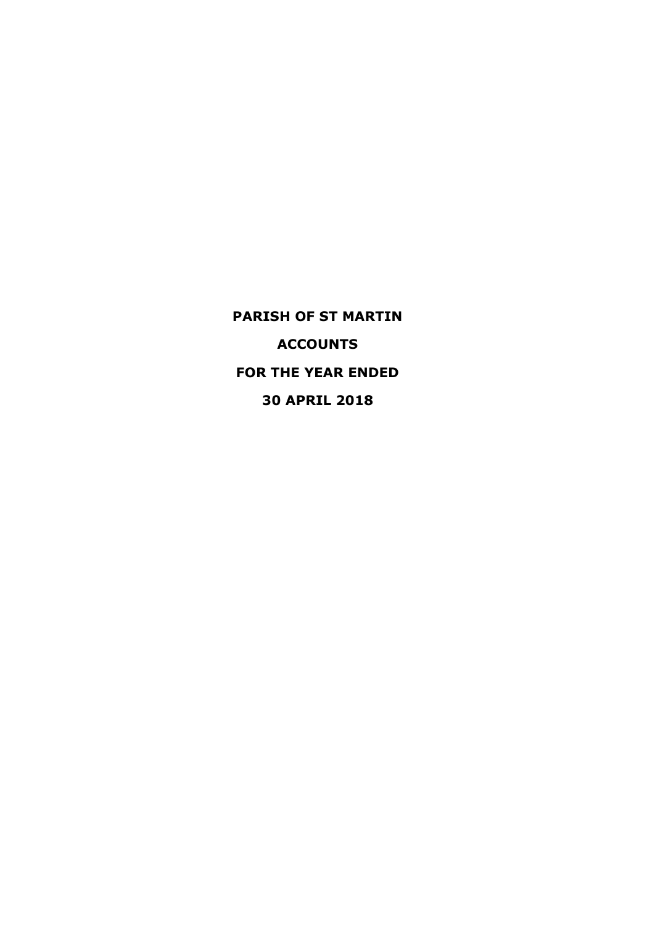**PARISH OF ST MARTIN ACCOUNTS FOR THE YEAR ENDED 30 APRIL 2018**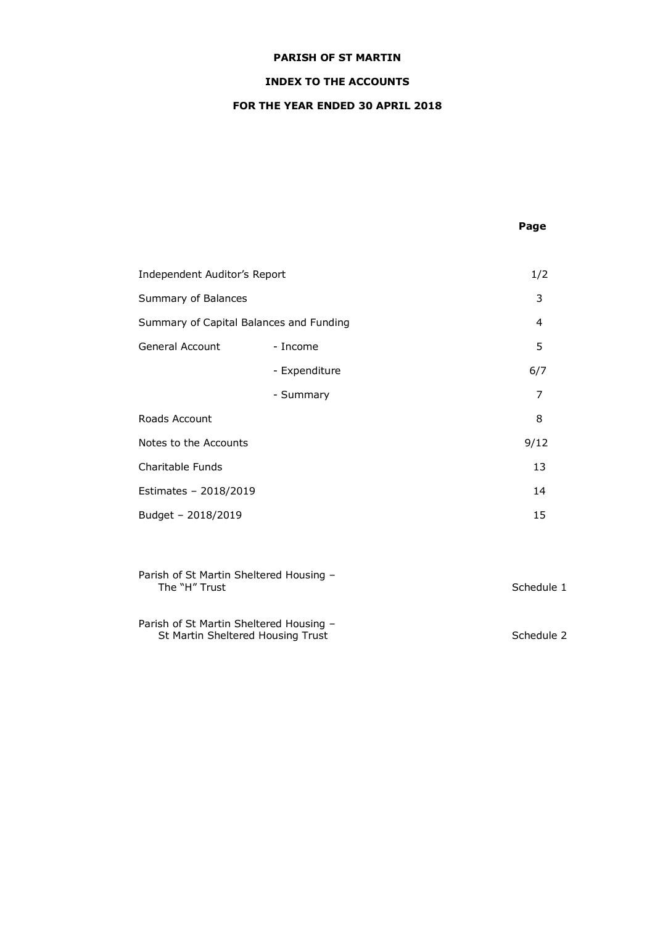# **INDEX TO THE ACCOUNTS**

# **FOR THE YEAR ENDED 30 APRIL 2018**

# **Page**

| Independent Auditor's Report            |               | 1/2  |
|-----------------------------------------|---------------|------|
| Summary of Balances                     |               | 3    |
| Summary of Capital Balances and Funding |               | 4    |
| General Account                         | - Income      | 5    |
|                                         | - Expenditure | 6/7  |
|                                         | - Summary     | 7    |
| Roads Account                           |               | 8    |
| Notes to the Accounts                   |               | 9/12 |
| Charitable Funds                        |               | 13   |
| Estimates - 2018/2019                   |               | 14   |
| Budget - 2018/2019                      |               | 15   |

| Parish of St Martin Sheltered Housing -<br>The "H" Trust                     | Schedule 1 |
|------------------------------------------------------------------------------|------------|
| Parish of St Martin Sheltered Housing -<br>St Martin Sheltered Housing Trust | Schedule 2 |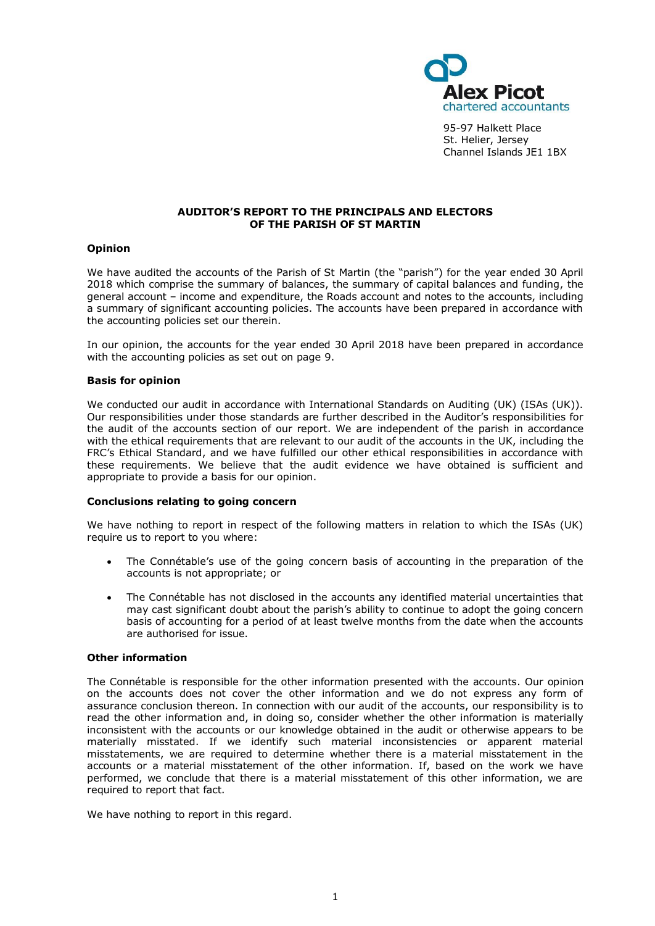

95-97 Halkett Place St. Helier, Jersey Channel Islands JE1 1BX

### **AUDITOR'S REPORT TO THE PRINCIPALS AND ELECTORS OF THE PARISH OF ST MARTIN**

## **Opinion**

We have audited the accounts of the Parish of St Martin (the "parish") for the year ended 30 April 2018 which comprise the summary of balances, the summary of capital balances and funding, the general account – income and expenditure, the Roads account and notes to the accounts, including a summary of significant accounting policies. The accounts have been prepared in accordance with the accounting policies set our therein.

In our opinion, the accounts for the year ended 30 April 2018 have been prepared in accordance with the accounting policies as set out on page 9.

#### **Basis for opinion**

We conducted our audit in accordance with International Standards on Auditing (UK) (ISAs (UK)). Our responsibilities under those standards are further described in the Auditor's responsibilities for the audit of the accounts section of our report. We are independent of the parish in accordance with the ethical requirements that are relevant to our audit of the accounts in the UK, including the FRC's [Ethical Standard,](https://library.cch.co.uk/apbes2016r1) and we have fulfilled our other ethical responsibilities in accordance with these requirements. We believe that the audit evidence we have obtained is sufficient and appropriate to provide a basis for our opinion.

# **Conclusions relating to going concern**

We have nothing to report in respect of the following matters in relation to which the ISAs (UK) require us to report to you where:

- The Connétable's use of the going concern basis of accounting in the preparation of the accounts is not appropriate; or
- The Connétable has not disclosed in the accounts any identified material uncertainties that may cast significant doubt about the parish's ability to continue to adopt the going concern basis of accounting for a period of at least twelve months from the date when the accounts are authorised for issue.

#### **Other information**

The Connétable is responsible for the other information presented with the accounts. Our opinion on the accounts does not cover the other information and we do not express any form of assurance conclusion thereon. In connection with our audit of the accounts, our responsibility is to read the other information and, in doing so, consider whether the other information is materially inconsistent with the accounts or our knowledge obtained in the audit or otherwise appears to be materially misstated. If we identify such material inconsistencies or apparent material misstatements, we are required to determine whether there is a material misstatement in the accounts or a material misstatement of the other information. If, based on the work we have performed, we conclude that there is a material misstatement of this other information, we are required to report that fact.

We have nothing to report in this regard.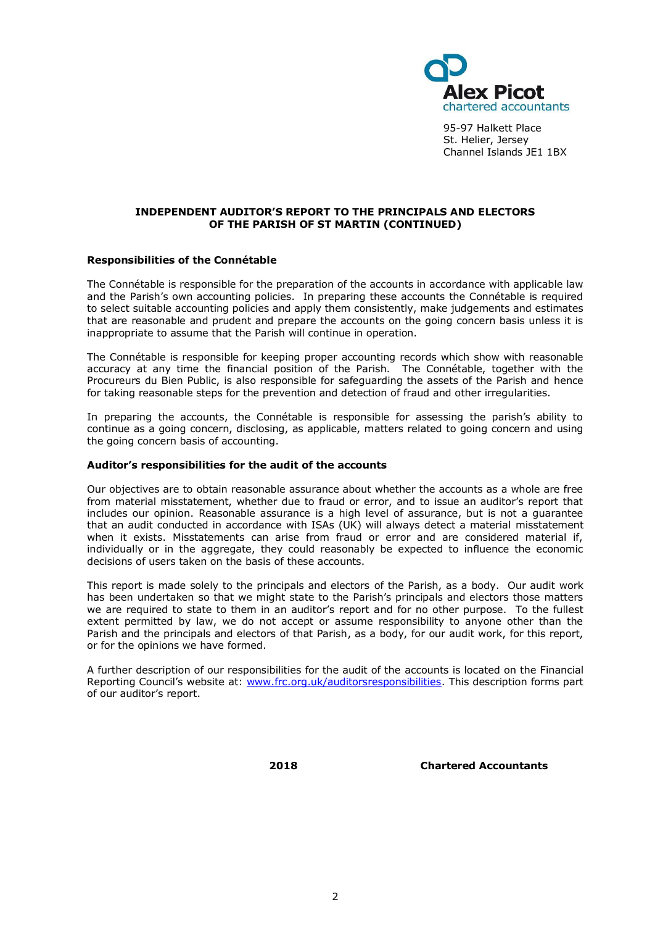

95-97 Halkett Place St. Helier, Jersey Channel Islands JE1 1BX

## **INDEPENDENT AUDITOR'S REPORT TO THE PRINCIPALS AND ELECTORS OF THE PARISH OF ST MARTIN (CONTINUED)**

## **Responsibilities of the Connétable**

The Connétable is responsible for the preparation of the accounts in accordance with applicable law and the Parish's own accounting policies. In preparing these accounts the Connétable is required to select suitable accounting policies and apply them consistently, make judgements and estimates that are reasonable and prudent and prepare the accounts on the going concern basis unless it is inappropriate to assume that the Parish will continue in operation.

The Connétable is responsible for keeping proper accounting records which show with reasonable accuracy at any time the financial position of the Parish. The Connétable, together with the Procureurs du Bien Public, is also responsible for safeguarding the assets of the Parish and hence for taking reasonable steps for the prevention and detection of fraud and other irregularities.

In preparing the accounts, the Connétable is responsible for assessing the parish's ability to continue as a going concern, disclosing, as applicable, matters related to going concern and using the going concern basis of accounting.

#### **Auditor's responsibilities for the audit of the accounts**

Our objectives are to obtain reasonable assurance about whether the accounts as a whole are free from material misstatement, whether due to fraud or error, and to issue an auditor's report that includes our opinion. Reasonable assurance is a high level of assurance, but is not a guarantee that an audit conducted in accordance with ISAs (UK) will always detect a material misstatement when it exists. Misstatements can arise from fraud or error and are considered material if, individually or in the aggregate, they could reasonably be expected to influence the economic decisions of users taken on the basis of these accounts.

This report is made solely to the principals and electors of the Parish, as a body. Our audit work has been undertaken so that we might state to the Parish's principals and electors those matters we are required to state to them in an auditor's report and for no other purpose. To the fullest extent permitted by law, we do not accept or assume responsibility to anyone other than the Parish and the principals and electors of that Parish, as a body, for our audit work, for this report, or for the opinions we have formed.

A further description of our responsibilities for the audit of the accounts is located on the Financial Reporting Council's website at: [www.frc.org.uk/auditorsresponsibilities.](http://www.frc.org.uk/auditorsresponsibilities) This description forms part of our auditor's report.

**2018 Chartered Accountants**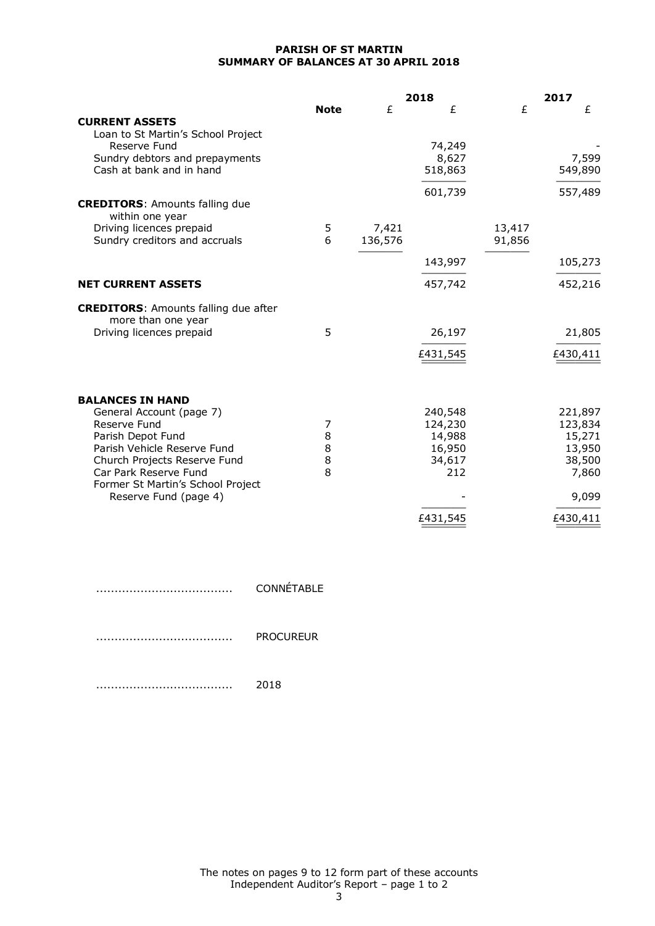## **PARISH OF ST MARTIN SUMMARY OF BALANCES AT 30 APRIL 2018**

|                                                            |             |         | 2018     |        | 2017     |
|------------------------------------------------------------|-------------|---------|----------|--------|----------|
|                                                            | <b>Note</b> | £       | £        | £      | £        |
| <b>CURRENT ASSETS</b>                                      |             |         |          |        |          |
| Loan to St Martin's School Project                         |             |         |          |        |          |
| Reserve Fund                                               |             |         | 74,249   |        |          |
| Sundry debtors and prepayments<br>Cash at bank and in hand |             |         | 8,627    |        | 7,599    |
|                                                            |             |         | 518,863  |        | 549,890  |
|                                                            |             |         | 601,739  |        | 557,489  |
| <b>CREDITORS: Amounts falling due</b>                      |             |         |          |        |          |
| within one year<br>Driving licences prepaid                |             | 7,421   |          | 13,417 |          |
| Sundry creditors and accruals                              | 5<br>6      | 136,576 |          | 91,856 |          |
|                                                            |             |         |          |        |          |
|                                                            |             |         | 143,997  |        | 105,273  |
| <b>NET CURRENT ASSETS</b>                                  |             |         | 457,742  |        | 452,216  |
| <b>CREDITORS:</b> Amounts falling due after                |             |         |          |        |          |
| more than one year                                         |             |         |          |        |          |
| Driving licences prepaid                                   | 5           |         | 26,197   |        | 21,805   |
|                                                            |             |         | £431,545 |        | £430,411 |
|                                                            |             |         |          |        |          |
| <b>BALANCES IN HAND</b>                                    |             |         |          |        |          |
| General Account (page 7)                                   |             |         | 240,548  |        | 221,897  |
| Reserve Fund                                               | 7           |         | 124,230  |        | 123,834  |
| Parish Depot Fund                                          | 8           |         | 14,988   |        | 15,271   |
| Parish Vehicle Reserve Fund                                | 8           |         | 16,950   |        | 13,950   |
| Church Projects Reserve Fund                               | 8           |         | 34,617   |        | 38,500   |
| Car Park Reserve Fund                                      | 8           |         | 212      |        | 7,860    |
| Former St Martin's School Project<br>Reserve Fund (page 4) |             |         |          |        | 9,099    |
|                                                            |             |         |          |        |          |
|                                                            |             |         | £431,545 |        | £430,411 |

|   | CONNETABLE       |
|---|------------------|
|   |                  |
| . | <b>PROCURFUR</b> |

..................................... 2018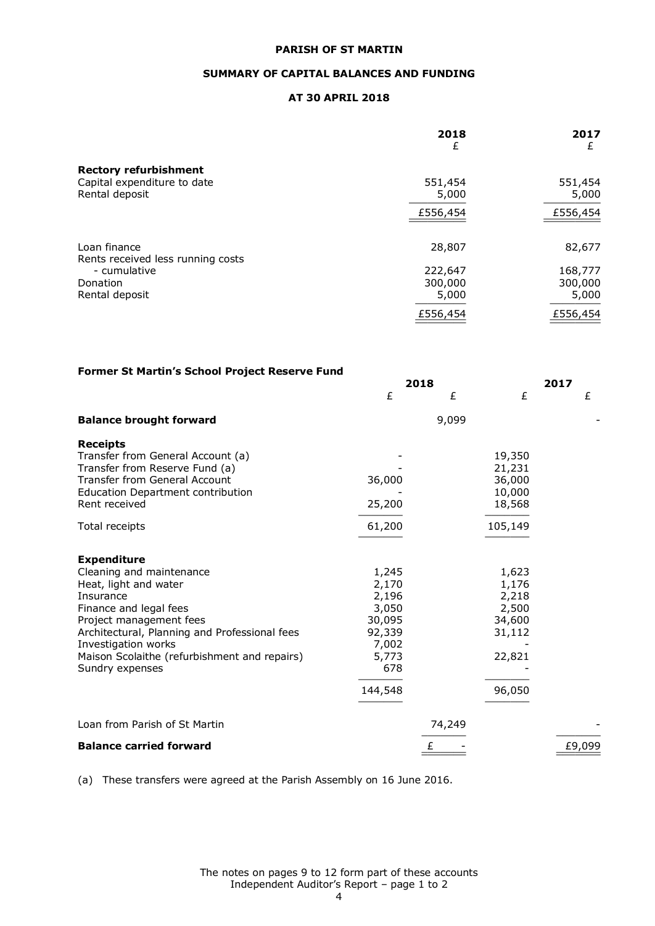## **SUMMARY OF CAPITAL BALANCES AND FUNDING**

## **AT 30 APRIL 2018**

|                                                   | 2018<br>£        | 2017<br>£        |
|---------------------------------------------------|------------------|------------------|
| <b>Rectory refurbishment</b>                      |                  |                  |
| Capital expenditure to date<br>Rental deposit     | 551,454<br>5,000 | 551,454<br>5,000 |
|                                                   | £556,454         | £556,454         |
| Loan finance<br>Rents received less running costs | 28,807           | 82,677           |
| - cumulative                                      | 222,647          | 168,777          |
| Donation                                          | 300,000          | 300,000          |
| Rental deposit                                    | 5,000            | 5,000            |
|                                                   | £556,454         | £556,454         |

| Former St Martin's School Project Reserve Fund                                                                                                                                                                                                                                       |                                                                                          |           |                                                                          |      |        |
|--------------------------------------------------------------------------------------------------------------------------------------------------------------------------------------------------------------------------------------------------------------------------------------|------------------------------------------------------------------------------------------|-----------|--------------------------------------------------------------------------|------|--------|
|                                                                                                                                                                                                                                                                                      | £                                                                                        | 2018<br>£ | £                                                                        | 2017 | £      |
| <b>Balance brought forward</b>                                                                                                                                                                                                                                                       |                                                                                          | 9,099     |                                                                          |      |        |
| <b>Receipts</b><br>Transfer from General Account (a)<br>Transfer from Reserve Fund (a)<br><b>Transfer from General Account</b><br><b>Education Department contribution</b><br>Rent received                                                                                          | 36,000<br>25,200                                                                         |           | 19,350<br>21,231<br>36,000<br>10,000<br>18,568                           |      |        |
| Total receipts                                                                                                                                                                                                                                                                       | 61,200                                                                                   |           | 105,149                                                                  |      |        |
| <b>Expenditure</b><br>Cleaning and maintenance<br>Heat, light and water<br>Insurance<br>Finance and legal fees<br>Project management fees<br>Architectural, Planning and Professional fees<br>Investigation works<br>Maison Scolaithe (refurbishment and repairs)<br>Sundry expenses | 1,245<br>2,170<br>2,196<br>3,050<br>30,095<br>92,339<br>7,002<br>5,773<br>678<br>144,548 |           | 1,623<br>1,176<br>2,218<br>2,500<br>34,600<br>31,112<br>22,821<br>96,050 |      |        |
| Loan from Parish of St Martin                                                                                                                                                                                                                                                        |                                                                                          | 74,249    |                                                                          |      |        |
| <b>Balance carried forward</b>                                                                                                                                                                                                                                                       |                                                                                          | £         |                                                                          |      | £9,099 |

(a) These transfers were agreed at the Parish Assembly on 16 June 2016.

The notes on pages 9 to 12 form part of these accounts Independent Auditor's Report – page 1 to 2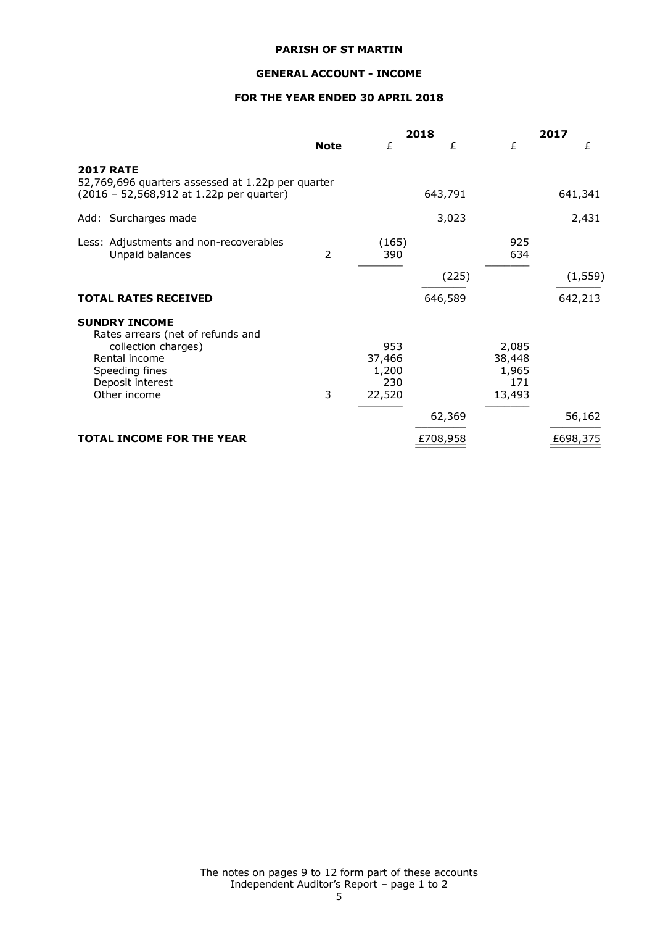# **GENERAL ACCOUNT - INCOME**

# **FOR THE YEAR ENDED 30 APRIL 2018**

|                                                                                                                                                         |             |                                         | 2018     | 2017                                      |          |
|---------------------------------------------------------------------------------------------------------------------------------------------------------|-------------|-----------------------------------------|----------|-------------------------------------------|----------|
|                                                                                                                                                         | <b>Note</b> | £                                       | £        | £                                         | £        |
| <b>2017 RATE</b><br>52,769,696 quarters assessed at 1.22p per quarter<br>(2016 - 52,568,912 at 1.22p per quarter)                                       |             |                                         | 643,791  |                                           | 641,341  |
| Add: Surcharges made                                                                                                                                    |             |                                         | 3,023    |                                           | 2,431    |
| Less: Adjustments and non-recoverables<br>Unpaid balances                                                                                               | 2           | (165)<br>390                            |          | 925<br>634                                |          |
|                                                                                                                                                         |             |                                         | (225)    |                                           | (1, 559) |
| <b>TOTAL RATES RECEIVED</b>                                                                                                                             |             |                                         | 646,589  |                                           | 642,213  |
| <b>SUNDRY INCOME</b><br>Rates arrears (net of refunds and<br>collection charges)<br>Rental income<br>Speeding fines<br>Deposit interest<br>Other income | 3           | 953<br>37,466<br>1,200<br>230<br>22,520 |          | 2,085<br>38,448<br>1,965<br>171<br>13,493 |          |
|                                                                                                                                                         |             |                                         | 62,369   |                                           | 56,162   |
| <b>TOTAL INCOME FOR THE YEAR</b>                                                                                                                        |             |                                         | £708,958 |                                           | £698,375 |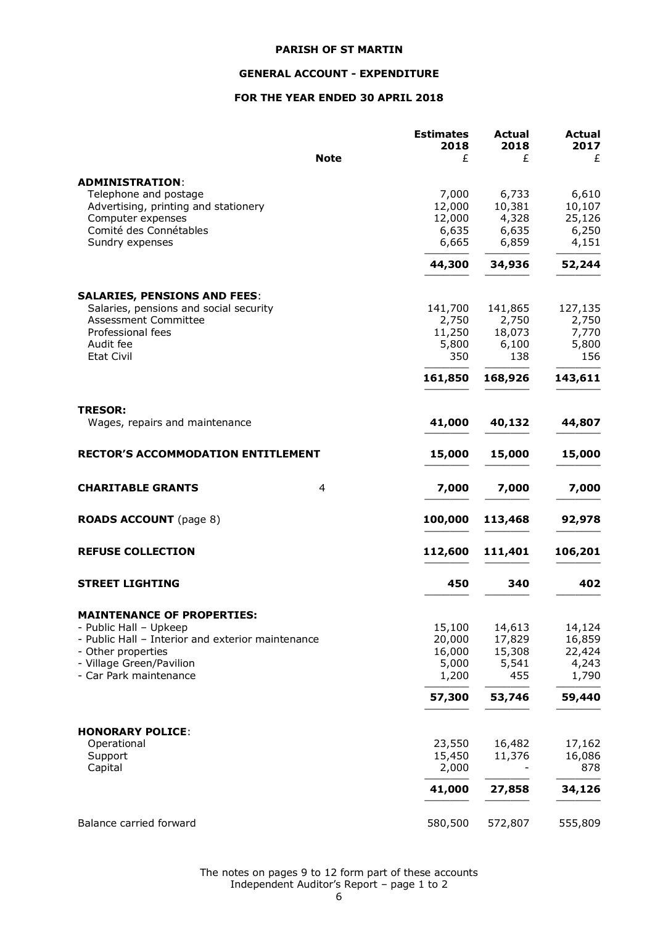# **GENERAL ACCOUNT - EXPENDITURE**

# **FOR THE YEAR ENDED 30 APRIL 2018**

|                                                                               | <b>Estimates</b> | <b>Actual</b> | <b>Actual</b> |
|-------------------------------------------------------------------------------|------------------|---------------|---------------|
|                                                                               | 2018             | 2018          | 2017          |
| <b>Note</b>                                                                   | £                | £             | £             |
| <b>ADMINISTRATION:</b>                                                        |                  |               |               |
| Telephone and postage                                                         | 7,000            | 6,733         | 6,610         |
| Advertising, printing and stationery                                          | 12,000           | 10,381        | 10,107        |
| Computer expenses                                                             | 12,000           | 4,328         | 25,126        |
| Comité des Connétables                                                        | 6,635            | 6,635         | 6,250         |
| Sundry expenses                                                               | 6,665            | 6,859         | 4,151         |
|                                                                               | 44,300           | 34,936        | 52,244        |
|                                                                               |                  |               |               |
| <b>SALARIES, PENSIONS AND FEES:</b><br>Salaries, pensions and social security | 141,700          | 141,865       | 127,135       |
| Assessment Committee                                                          | 2,750            | 2,750         | 2,750         |
| Professional fees                                                             | 11,250           | 18,073        | 7,770         |
| Audit fee                                                                     | 5,800            | 6,100         | 5,800         |
| <b>Etat Civil</b>                                                             | 350              | 138           | 156           |
|                                                                               | 161,850          | 168,926       | 143,611       |
|                                                                               |                  |               |               |
| <b>TRESOR:</b><br>Wages, repairs and maintenance                              | 41,000           | 40,132        | 44,807        |
|                                                                               |                  |               |               |
| <b>RECTOR'S ACCOMMODATION ENTITLEMENT</b>                                     | 15,000           | 15,000        | 15,000        |
| <b>CHARITABLE GRANTS</b><br>4                                                 | 7,000            | 7,000         | 7,000         |
|                                                                               |                  |               |               |
| <b>ROADS ACCOUNT</b> (page 8)                                                 | 100,000          | 113,468       | 92,978        |
| <b>REFUSE COLLECTION</b>                                                      | 112,600          | 111,401       | 106,201       |
|                                                                               |                  |               |               |
| <b>STREET LIGHTING</b>                                                        | 450              | 340           | 402           |
| <b>MAINTENANCE OF PROPERTIES:</b>                                             |                  |               |               |
| - Public Hall - Upkeep                                                        | 15,100           | 14,613        | 14,124        |
| - Public Hall - Interior and exterior maintenance                             | 20,000           | 17,829        | 16,859        |
| - Other properties                                                            | 16,000           | 15,308        | 22,424        |
| - Village Green/Pavilion                                                      | 5,000            | 5,541         | 4,243         |
| - Car Park maintenance                                                        | 1,200            | 455           | 1,790         |
|                                                                               | 57,300           | 53,746        | 59,440        |
|                                                                               |                  |               |               |
| <b>HONORARY POLICE:</b>                                                       |                  |               |               |
| Operational                                                                   | 23,550           | 16,482        | 17,162        |
| Support                                                                       | 15,450           | 11,376        | 16,086        |
| Capital                                                                       | 2,000            |               | 878           |
|                                                                               | 41,000           | 27,858        | 34,126        |
|                                                                               |                  |               |               |
| Balance carried forward                                                       | 580,500          | 572,807       | 555,809       |

The notes on pages 9 to 12 form part of these accounts Independent Auditor's Report – page 1 to 2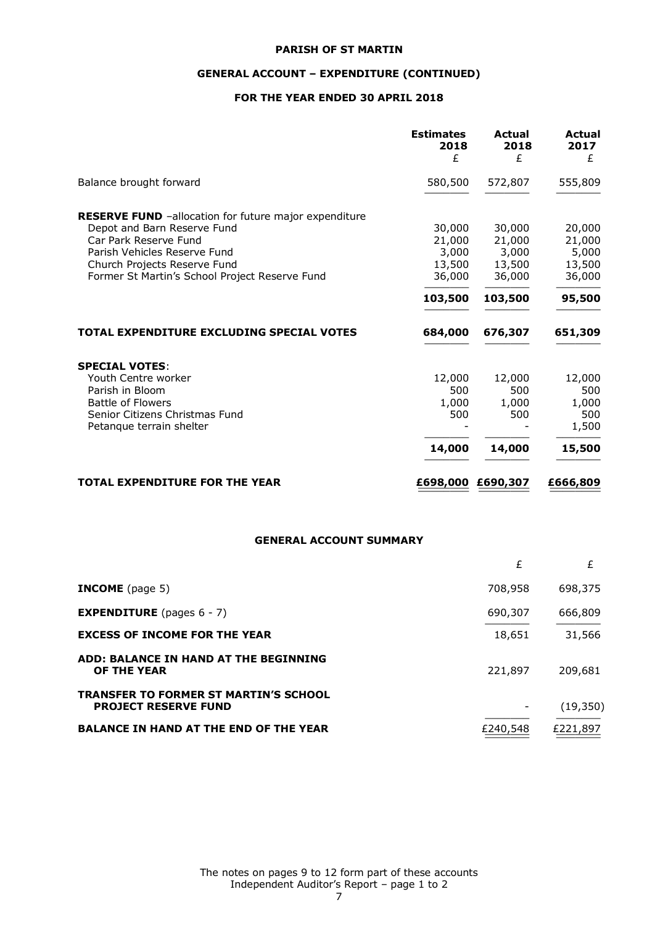# **GENERAL ACCOUNT – EXPENDITURE (CONTINUED)**

# **FOR THE YEAR ENDED 30 APRIL 2018**

|                                                                                                                                                                                                                                        | <b>Estimates</b><br>2018<br>£                            | <b>Actual</b><br>2018<br>£                               | <b>Actual</b><br>2017<br>£                              |
|----------------------------------------------------------------------------------------------------------------------------------------------------------------------------------------------------------------------------------------|----------------------------------------------------------|----------------------------------------------------------|---------------------------------------------------------|
| Balance brought forward                                                                                                                                                                                                                | 580,500                                                  | 572,807                                                  | 555,809                                                 |
| <b>RESERVE FUND</b> -allocation for future major expenditure<br>Depot and Barn Reserve Fund<br>Car Park Reserve Fund<br>Parish Vehicles Reserve Fund<br>Church Projects Reserve Fund<br>Former St Martin's School Project Reserve Fund | 30,000<br>21,000<br>3,000<br>13,500<br>36,000<br>103,500 | 30,000<br>21,000<br>3,000<br>13,500<br>36,000<br>103,500 | 20,000<br>21,000<br>5,000<br>13,500<br>36,000<br>95,500 |
| TOTAL EXPENDITURE EXCLUDING SPECIAL VOTES                                                                                                                                                                                              | 684,000                                                  | 676,307                                                  | 651,309                                                 |
| <b>SPECIAL VOTES:</b><br>Youth Centre worker<br>Parish in Bloom<br><b>Battle of Flowers</b><br>Senior Citizens Christmas Fund<br>Petangue terrain shelter                                                                              | 12,000<br>500<br>1,000<br>500<br>14,000                  | 12,000<br>500<br>1,000<br>500<br>14,000                  | 12,000<br>500<br>1,000<br>500<br>1,500<br>15,500        |
| <b>TOTAL EXPENDITURE FOR THE YEAR</b>                                                                                                                                                                                                  | £698,000                                                 | £690,307                                                 | £666,809                                                |

# **GENERAL ACCOUNT SUMMARY**

|                                                                             | £        | £         |
|-----------------------------------------------------------------------------|----------|-----------|
| <b>INCOME</b> (page 5)                                                      | 708,958  | 698,375   |
| <b>EXPENDITURE</b> (pages $6 - 7$ )                                         | 690,307  | 666,809   |
| <b>EXCESS OF INCOME FOR THE YEAR</b>                                        | 18,651   | 31,566    |
| ADD: BALANCE IN HAND AT THE BEGINNING<br><b>OF THE YEAR</b>                 | 221,897  | 209,681   |
| <b>TRANSFER TO FORMER ST MARTIN'S SCHOOL</b><br><b>PROJECT RESERVE FUND</b> |          | (19, 350) |
| <b>BALANCE IN HAND AT THE END OF THE YEAR</b>                               | £240,548 | £221,897  |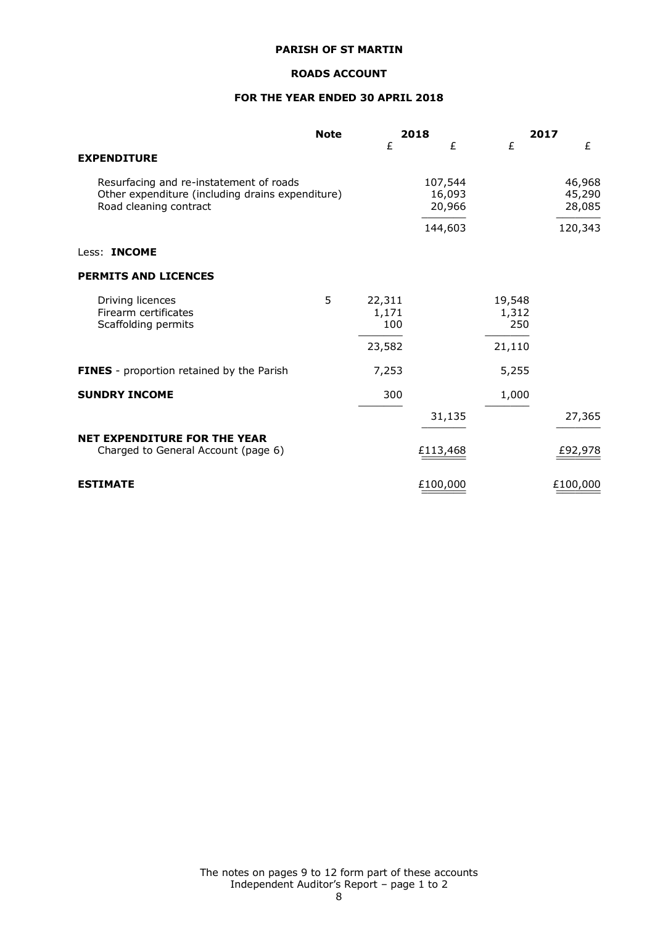# **ROADS ACCOUNT**

# **FOR THE YEAR ENDED 30 APRIL 2018**

|                                                                                                                       | <b>Note</b> |                        | 2018                        |                        | 2017                       |
|-----------------------------------------------------------------------------------------------------------------------|-------------|------------------------|-----------------------------|------------------------|----------------------------|
| <b>EXPENDITURE</b>                                                                                                    |             | £                      | £                           | £                      | £                          |
| Resurfacing and re-instatement of roads<br>Other expenditure (including drains expenditure)<br>Road cleaning contract |             |                        | 107,544<br>16,093<br>20,966 |                        | 46,968<br>45,290<br>28,085 |
|                                                                                                                       |             |                        | 144,603                     |                        | 120,343                    |
| Less: <b>INCOME</b>                                                                                                   |             |                        |                             |                        |                            |
| <b>PERMITS AND LICENCES</b>                                                                                           |             |                        |                             |                        |                            |
| Driving licences<br>Firearm certificates<br>Scaffolding permits                                                       | 5           | 22,311<br>1,171<br>100 |                             | 19,548<br>1,312<br>250 |                            |
|                                                                                                                       |             | 23,582                 |                             | 21,110                 |                            |
| <b>FINES</b> - proportion retained by the Parish                                                                      |             | 7,253                  |                             | 5,255                  |                            |
| <b>SUNDRY INCOME</b>                                                                                                  |             | 300                    |                             | 1,000                  |                            |
|                                                                                                                       |             |                        | 31,135                      |                        | 27,365                     |
| <b>NET EXPENDITURE FOR THE YEAR</b><br>Charged to General Account (page 6)                                            |             |                        | £113,468                    |                        | £92,978                    |
| <b>ESTIMATE</b>                                                                                                       |             |                        | £100,000                    |                        | £100,000                   |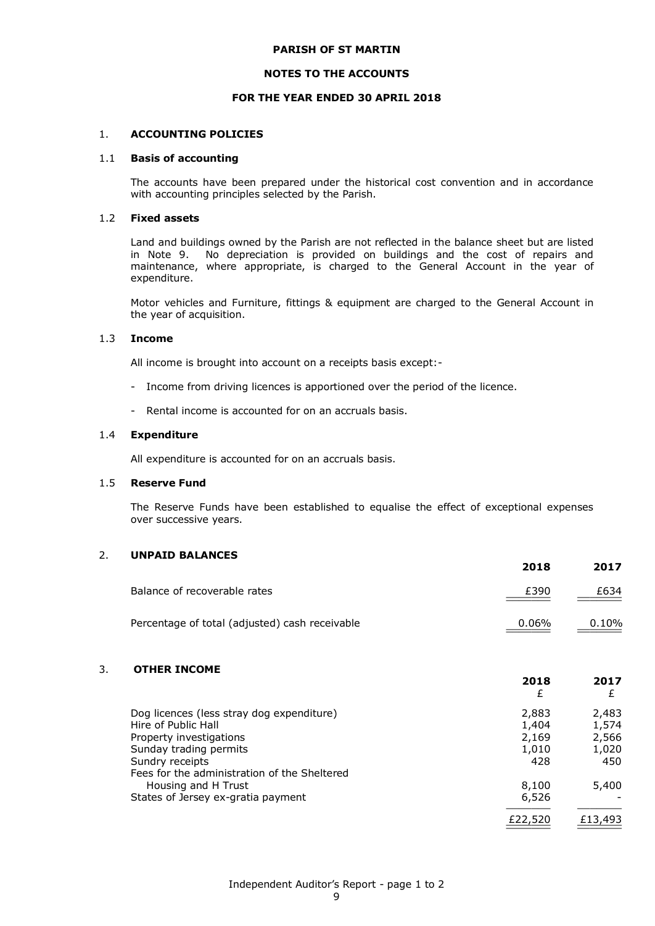#### **NOTES TO THE ACCOUNTS**

#### **FOR THE YEAR ENDED 30 APRIL 2018**

#### 1. **ACCOUNTING POLICIES**

#### 1.1 **Basis of accounting**

The accounts have been prepared under the historical cost convention and in accordance with accounting principles selected by the Parish.

### 1.2 **Fixed assets**

Land and buildings owned by the Parish are not reflected in the balance sheet but are listed in Note 9. No depreciation is provided on buildings and the cost of repairs and maintenance, where appropriate, is charged to the General Account in the year of expenditure.

Motor vehicles and Furniture, fittings & equipment are charged to the General Account in the year of acquisition.

### 1.3 **Income**

All income is brought into account on a receipts basis except:-

- Income from driving licences is apportioned over the period of the licence.
- Rental income is accounted for on an accruals basis.

#### 1.4 **Expenditure**

All expenditure is accounted for on an accruals basis.

#### 1.5 **Reserve Fund**

The Reserve Funds have been established to equalise the effect of exceptional expenses over successive years.

## 2. **UNPAID BALANCES**

|                                                | 2018  | 2017  |
|------------------------------------------------|-------|-------|
| Balance of recoverable rates                   | £390  | £634  |
| Percentage of total (adjusted) cash receivable | 0.06% | 0.10% |

## 3. **OTHER INCOME**

|                                              | £       |         |
|----------------------------------------------|---------|---------|
| Dog licences (less stray dog expenditure)    | 2,883   | 2,483   |
| Hire of Public Hall                          | 1,404   | 1,574   |
| Property investigations                      | 2,169   | 2,566   |
| Sunday trading permits                       | 1,010   | 1,020   |
| Sundry receipts                              | 428     | 450     |
| Fees for the administration of the Sheltered |         |         |
| Housing and H Trust                          | 8,100   | 5,400   |
| States of Jersey ex-gratia payment           | 6,526   |         |
|                                              | £22,520 | £13,493 |

**2018 2017**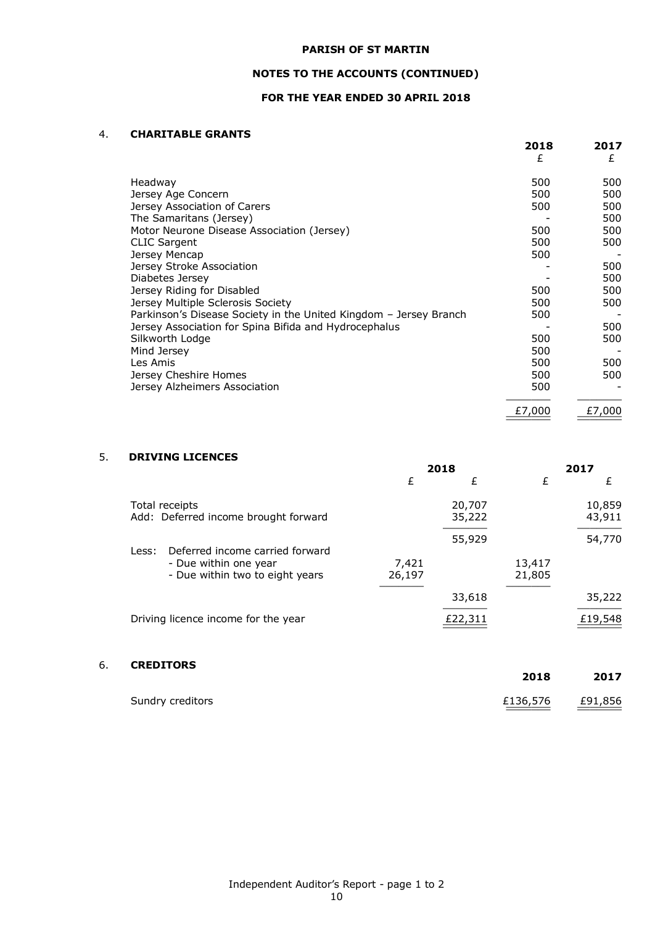# **NOTES TO THE ACCOUNTS (CONTINUED)**

# **FOR THE YEAR ENDED 30 APRIL 2018**

### 4. **CHARITABLE GRANTS**

|                                                                   | 2018<br>£ | 2017<br>£ |
|-------------------------------------------------------------------|-----------|-----------|
|                                                                   |           |           |
| Headway                                                           | 500       | 500       |
| Jersey Age Concern                                                | 500       | 500       |
| Jersey Association of Carers                                      | 500       | 500       |
| The Samaritans (Jersey)                                           |           | 500       |
| Motor Neurone Disease Association (Jersey)                        | 500       | 500       |
| <b>CLIC Sargent</b>                                               | 500       | 500       |
| Jersey Mencap                                                     | 500       |           |
| Jersey Stroke Association                                         |           | 500       |
| Diabetes Jersey                                                   |           | 500       |
| Jersey Riding for Disabled                                        | 500       | 500       |
| Jersey Multiple Sclerosis Society                                 | 500       | 500       |
| Parkinson's Disease Society in the United Kingdom - Jersey Branch | 500       |           |
| Jersey Association for Spina Bifida and Hydrocephalus             |           | 500       |
| Silkworth Lodge                                                   | 500       | 500       |
| Mind Jersey                                                       | 500       |           |
| Les Amis                                                          | 500       | 500       |
| Jersey Cheshire Homes                                             | 500       | 500       |
| Jersey Alzheimers Association                                     | 500       |           |
|                                                                   | £7,000    | £7,000    |
|                                                                   |           |           |

# 5. **DRIVING LICENCES**

|                                                          | 2018            |                  |                  | 2017             |
|----------------------------------------------------------|-----------------|------------------|------------------|------------------|
|                                                          | £               | £                | £                | £                |
| Total receipts<br>Add: Deferred income brought forward   |                 | 20,707<br>35,222 |                  | 10,859<br>43,911 |
| Deferred income carried forward<br>Less:                 |                 | 55,929           |                  | 54,770           |
| - Due within one year<br>- Due within two to eight years | 7,421<br>26,197 |                  | 13,417<br>21,805 |                  |
|                                                          |                 | 33,618           |                  | 35,222           |
| Driving licence income for the year                      |                 | £22,311          |                  | £19,548          |

# 6. **CREDITORS**

|                  | 2018     | 2017    |
|------------------|----------|---------|
| Sundry creditors | £136,576 | £91,856 |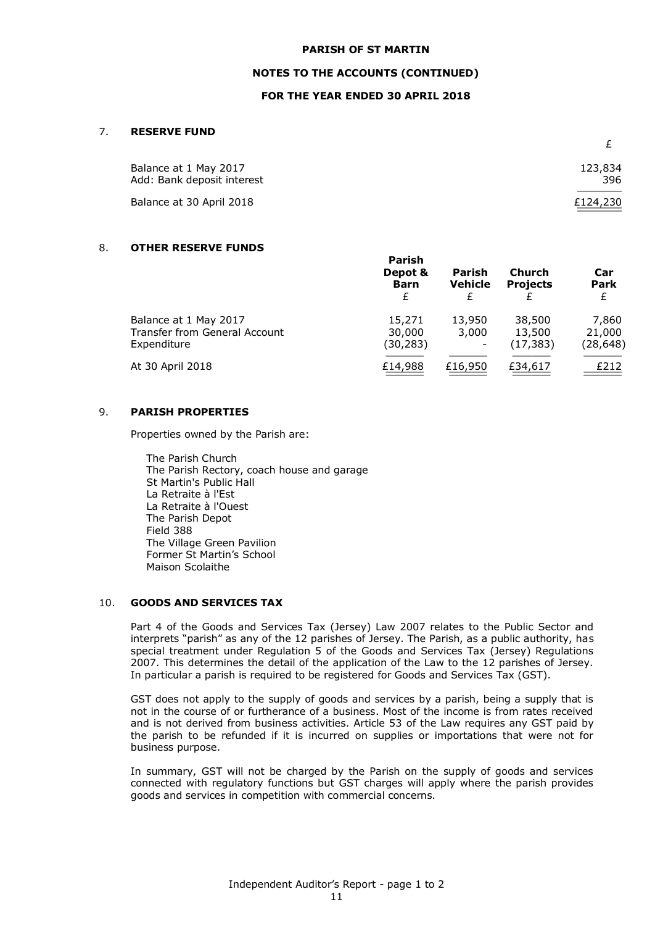### **NOTES TO THE ACCOUNTS (CONTINUED)**

### **FOR THE YEAR ENDED 30 APRIL 2018**

### 7. **RESERVE FUND**

| Balance at 1 May 2017<br>Add: Bank deposit interest | 123,834<br>396 |
|-----------------------------------------------------|----------------|
| Balance at 30 April 2018                            | £124,230       |

## 8. **OTHER RESERVE FUNDS**

|                                                                              | Parish<br>Depot &<br><b>Barn</b><br>£ | Parish<br><b>Vehicle</b> | Church<br><b>Projects</b>     | Car<br><b>Park</b><br>£      |
|------------------------------------------------------------------------------|---------------------------------------|--------------------------|-------------------------------|------------------------------|
| Balance at 1 May 2017<br><b>Transfer from General Account</b><br>Expenditure | 15,271<br>30,000<br>(30, 283)         | 13,950<br>3,000          | 38,500<br>13,500<br>(17, 383) | 7,860<br>21,000<br>(28, 648) |
| At 30 April 2018                                                             | £14,988                               | £16,950                  | £34,617                       | £212                         |

#### 9. **PARISH PROPERTIES**

Properties owned by the Parish are:

The Parish Church The Parish Rectory, coach house and garage St Martin's Public Hall La Retraite à l'Est La Retraite à l'Ouest The Parish Depot Field 388 The Village Green Pavilion Former St Martin's School Maison Scolaithe

### 10. **GOODS AND SERVICES TAX**

Part 4 of the Goods and Services Tax (Jersey) Law 2007 relates to the Public Sector and interprets "parish" as any of the 12 parishes of Jersey. The Parish, as a public authority, has special treatment under Regulation 5 of the Goods and Services Tax (Jersey) Regulations 2007. This determines the detail of the application of the Law to the 12 parishes of Jersey. In particular a parish is required to be registered for Goods and Services Tax (GST).

GST does not apply to the supply of goods and services by a parish, being a supply that is not in the course of or furtherance of a business. Most of the income is from rates received and is not derived from business activities. Article 53 of the Law requires any GST paid by the parish to be refunded if it is incurred on supplies or importations that were not for business purpose.

In summary, GST will not be charged by the Parish on the supply of goods and services connected with regulatory functions but GST charges will apply where the parish provides goods and services in competition with commercial concerns.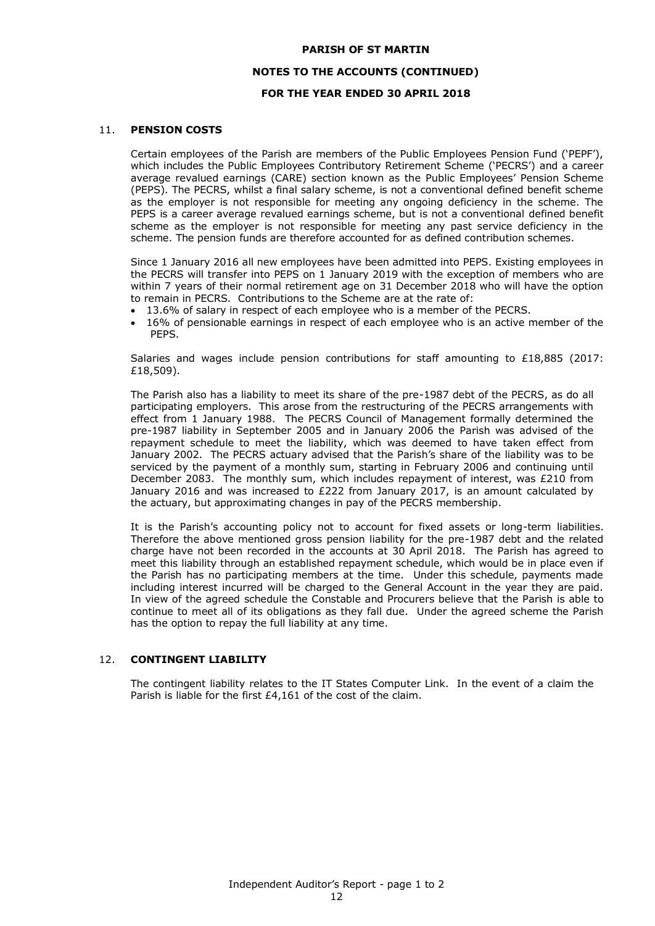## **NOTES TO THE ACCOUNTS (CONTINUED)**

# **FOR THE YEAR ENDED 30 APRIL 2018**

# 11. **PENSION COSTS**

Certain employees of the Parish are members of the Public Employees Pension Fund ('PEPF'), which includes the Public Employees Contributory Retirement Scheme ('PECRS') and a career average revalued earnings (CARE) section known as the Public Employees' Pension Scheme (PEPS). The PECRS, whilst a final salary scheme, is not a conventional defined benefit scheme as the employer is not responsible for meeting any ongoing deficiency in the scheme. The PEPS is a career average revalued earnings scheme, but is not a conventional defined benefit scheme as the employer is not responsible for meeting any past service deficiency in the scheme. The pension funds are therefore accounted for as defined contribution schemes.

Since 1 January 2016 all new employees have been admitted into PEPS. Existing employees in the PECRS will transfer into PEPS on 1 January 2019 with the exception of members who are within 7 years of their normal retirement age on 31 December 2018 who will have the option to remain in PECRS. Contributions to the Scheme are at the rate of:

- 13.6% of salary in respect of each employee who is a member of the PECRS.
- 16% of pensionable earnings in respect of each employee who is an active member of the PEPS.

Salaries and wages include pension contributions for staff amounting to  $£18,885$  (2017: £18,509).

The Parish also has a liability to meet its share of the pre-1987 debt of the PECRS, as do all participating employers. This arose from the restructuring of the PECRS arrangements with effect from 1 January 1988. The PECRS Council of Management formally determined the pre-1987 liability in September 2005 and in January 2006 the Parish was advised of the repayment schedule to meet the liability, which was deemed to have taken effect from January 2002. The PECRS actuary advised that the Parish's share of the liability was to be serviced by the payment of a monthly sum, starting in February 2006 and continuing until December 2083. The monthly sum, which includes repayment of interest, was £210 from January 2016 and was increased to £222 from January 2017, is an amount calculated by the actuary, but approximating changes in pay of the PECRS membership.

It is the Parish's accounting policy not to account for fixed assets or long-term liabilities. Therefore the above mentioned gross pension liability for the pre-1987 debt and the related charge have not been recorded in the accounts at 30 April 2018. The Parish has agreed to meet this liability through an established repayment schedule, which would be in place even if the Parish has no participating members at the time. Under this schedule, payments made including interest incurred will be charged to the General Account in the year they are paid. In view of the agreed schedule the Constable and Procurers believe that the Parish is able to continue to meet all of its obligations as they fall due. Under the agreed scheme the Parish has the option to repay the full liability at any time.

## 12. **CONTINGENT LIABILITY**

The contingent liability relates to the IT States Computer Link. In the event of a claim the Parish is liable for the first £4,161 of the cost of the claim.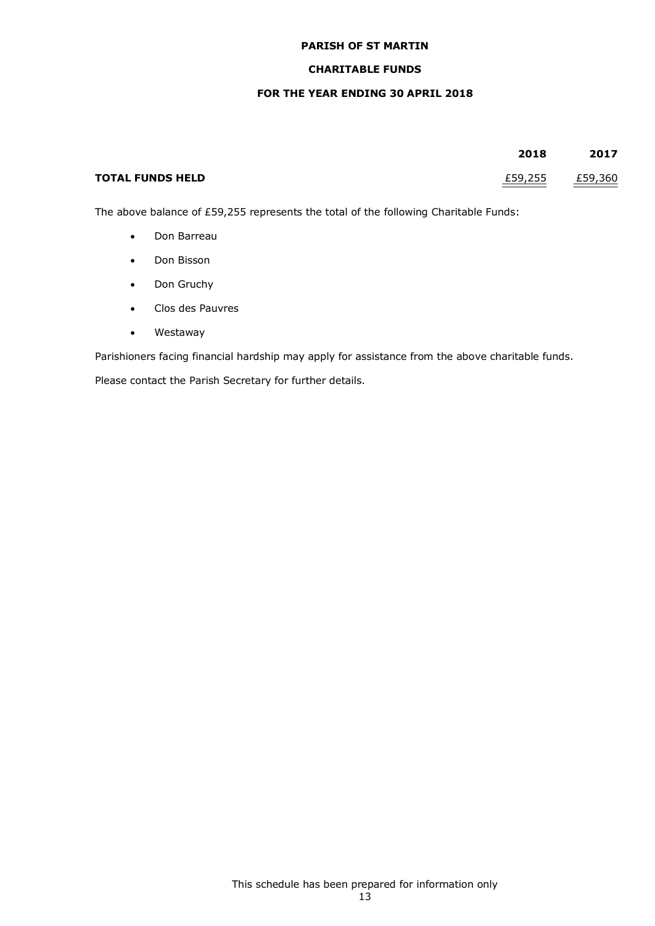# **CHARITABLE FUNDS**

## **FOR THE YEAR ENDING 30 APRIL 2018**

|                         | 2018    | 2017    |
|-------------------------|---------|---------|
| <b>TOTAL FUNDS HELD</b> | £59,255 | £59,360 |

The above balance of £59,255 represents the total of the following Charitable Funds:

- Don Barreau
- Don Bisson
- Don Gruchy
- Clos des Pauvres
- Westaway

Parishioners facing financial hardship may apply for assistance from the above charitable funds.

Please contact the Parish Secretary for further details.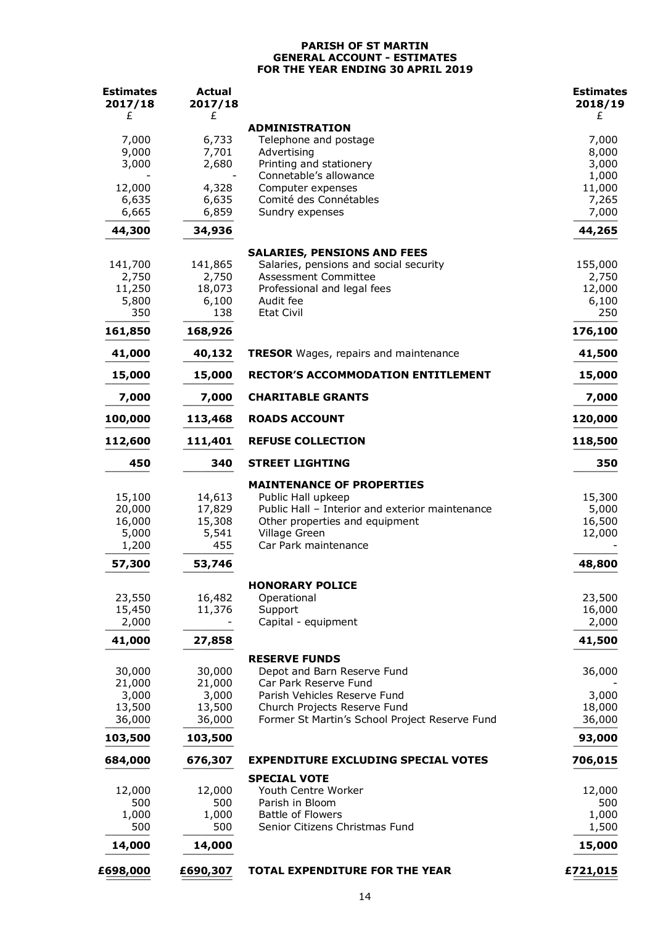## **PARISH OF ST MARTIN GENERAL ACCOUNT - ESTIMATES FOR THE YEAR ENDING 30 APRIL 2019**

| <b>Estimates</b><br>2017/18 | Actual<br>2017/18 |                                                                                   | <b>Estimates</b><br>2018/19 |
|-----------------------------|-------------------|-----------------------------------------------------------------------------------|-----------------------------|
| £                           | £                 |                                                                                   | £                           |
|                             |                   | <b>ADMINISTRATION</b>                                                             |                             |
| 7,000                       | 6,733             | Telephone and postage                                                             | 7,000                       |
| 9,000<br>3,000              | 7,701<br>2,680    | Advertising<br>Printing and stationery                                            | 8,000<br>3,000              |
|                             |                   | Connetable's allowance                                                            | 1,000                       |
| 12,000                      | 4,328             | Computer expenses                                                                 | 11,000                      |
| 6,635<br>6,665              | 6,635<br>6,859    | Comité des Connétables                                                            | 7,265<br>7,000              |
|                             |                   | Sundry expenses                                                                   |                             |
| 44,300                      | 34,936            |                                                                                   | 44,265                      |
|                             |                   | <b>SALARIES, PENSIONS AND FEES</b>                                                |                             |
| 141,700<br>2,750            | 141,865<br>2,750  | Salaries, pensions and social security<br>Assessment Committee                    | 155,000<br>2,750            |
| 11,250                      | 18,073            | Professional and legal fees                                                       | 12,000                      |
| 5,800                       | 6,100             | Audit fee                                                                         | 6,100                       |
| 350                         | 138               | <b>Etat Civil</b>                                                                 | 250                         |
| 161,850                     | 168,926           |                                                                                   | 176,100                     |
| 41,000                      | 40,132            | <b>TRESOR</b> Wages, repairs and maintenance                                      | 41,500                      |
| 15,000                      | 15,000            | <b>RECTOR'S ACCOMMODATION ENTITLEMENT</b>                                         | 15,000                      |
| 7,000                       | 7,000             | <b>CHARITABLE GRANTS</b>                                                          | 7,000                       |
| 100,000                     | 113,468           | <b>ROADS ACCOUNT</b>                                                              | 120,000                     |
| 112,600                     | 111,401           | <b>REFUSE COLLECTION</b>                                                          | 118,500                     |
| 450                         | 340               | <b>STREET LIGHTING</b>                                                            | 350                         |
|                             |                   | <b>MAINTENANCE OF PROPERTIES</b>                                                  |                             |
| 15,100                      | 14,613            | Public Hall upkeep                                                                | 15,300                      |
| 20,000<br>16,000            | 17,829<br>15,308  | Public Hall - Interior and exterior maintenance<br>Other properties and equipment | 5,000<br>16,500             |
| 5,000                       | 5,541             | Village Green                                                                     | 12,000                      |
| 1,200                       | 455               | Car Park maintenance                                                              |                             |
| 57,300                      | 53,746            |                                                                                   | 48,800                      |
|                             |                   | <b>HONORARY POLICE</b>                                                            |                             |
| 23,550                      | 16,482            | Operational                                                                       | 23,500                      |
| 15,450                      | 11,376            | Support                                                                           | 16,000                      |
| 2,000                       |                   | Capital - equipment                                                               | 2,000                       |
| 41,000                      | 27,858            |                                                                                   | 41,500                      |
|                             |                   | <b>RESERVE FUNDS</b>                                                              |                             |
| 30,000                      | 30,000            | Depot and Barn Reserve Fund                                                       | 36,000                      |
| 21,000<br>3,000             | 21,000<br>3,000   | Car Park Reserve Fund<br>Parish Vehicles Reserve Fund                             | 3,000                       |
| 13,500                      | 13,500            | Church Projects Reserve Fund                                                      | 18,000                      |
| 36,000                      | 36,000            | Former St Martin's School Project Reserve Fund                                    | 36,000                      |
| 103,500                     | 103,500           |                                                                                   | 93,000                      |
| 684,000                     | 676,307           | <b>EXPENDITURE EXCLUDING SPECIAL VOTES</b>                                        | 706,015                     |
|                             |                   | <b>SPECIAL VOTE</b>                                                               |                             |
| 12,000<br>500               | 12,000<br>500     | Youth Centre Worker<br>Parish in Bloom                                            | 12,000<br>500               |
| 1,000                       | 1,000             | <b>Battle of Flowers</b>                                                          | 1,000                       |
| 500                         | 500               | Senior Citizens Christmas Fund                                                    | 1,500                       |
| 14,000                      | 14,000            |                                                                                   | 15,000                      |
| £698,000                    | £690,307          | <b>TOTAL EXPENDITURE FOR THE YEAR</b>                                             | £721,015                    |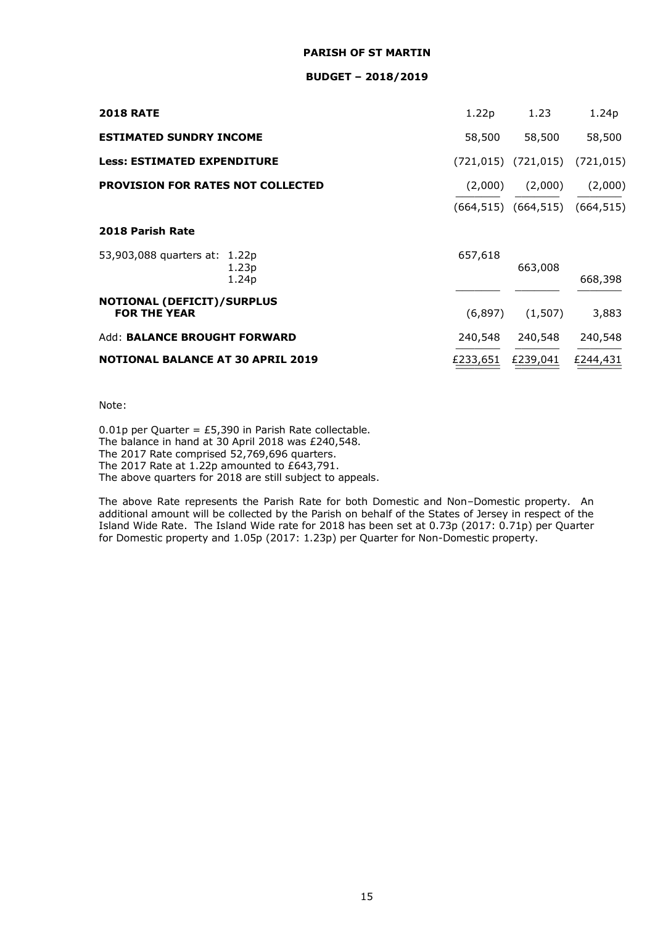#### **BUDGET – 2018/2019**

| <b>2018 RATE</b>                                  | 1.22p    | 1.23                                   | 1.24p      |
|---------------------------------------------------|----------|----------------------------------------|------------|
| <b>ESTIMATED SUNDRY INCOME</b>                    | 58,500   | 58,500                                 | 58,500     |
| <b>Less: ESTIMATED EXPENDITURE</b>                |          | $(721, 015)$ $(721, 015)$              | (721, 015) |
| PROVISION FOR RATES NOT COLLECTED                 | (2,000)  | (2,000)                                | (2,000)    |
|                                                   |          | $(664, 515)$ $(664, 515)$ $(664, 515)$ |            |
| 2018 Parish Rate                                  |          |                                        |            |
| 53,903,088 quarters at: 1.22p<br>1.23p<br>1.24p   | 657,618  | 663,008                                | 668,398    |
| NOTIONAL (DEFICIT)/SURPLUS<br><b>FOR THE YEAR</b> | (6, 897) | (1,507)                                | 3,883      |
| <b>Add: BALANCE BROUGHT FORWARD</b>               | 240,548  | 240,548                                | 240,548    |
| <b>NOTIONAL BALANCE AT 30 APRIL 2019</b>          | £233,651 | £239,041                               | £244,431   |

Note:

0.01p per Quarter = £5,390 in Parish Rate collectable. The balance in hand at 30 April 2018 was £240,548. The 2017 Rate comprised 52,769,696 quarters. The 2017 Rate at 1.22p amounted to £643,791. The above quarters for 2018 are still subject to appeals.

The above Rate represents the Parish Rate for both Domestic and Non–Domestic property. An additional amount will be collected by the Parish on behalf of the States of Jersey in respect of the Island Wide Rate. The Island Wide rate for 2018 has been set at 0.73p (2017: 0.71p) per Quarter for Domestic property and 1.05p (2017: 1.23p) per Quarter for Non-Domestic property.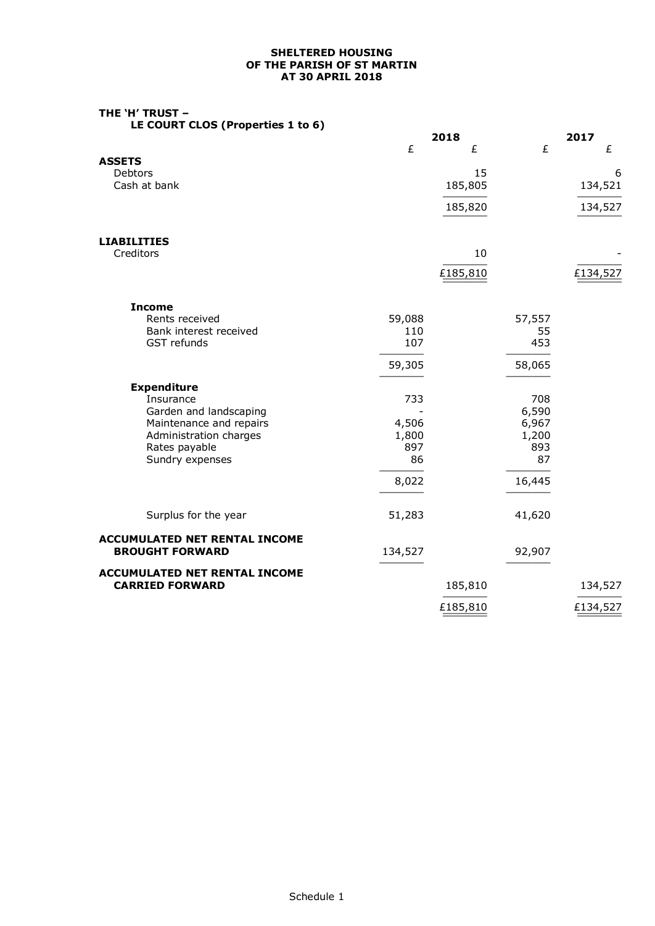### **SHELTERED HOUSING OF THE PARISH OF ST MARTIN AT 30 APRIL 2018**

| THE `H′ TRUST –                   |  |  |  |
|-----------------------------------|--|--|--|
| LE COURT CLOS (Properties 1 to 6) |  |  |  |

|                                                                |         | 2018          |                | 2017         |
|----------------------------------------------------------------|---------|---------------|----------------|--------------|
|                                                                | £       | £             | £              | £            |
| <b>ASSETS</b>                                                  |         |               |                |              |
| Debtors<br>Cash at bank                                        |         | 15<br>185,805 |                | 6<br>134,521 |
|                                                                |         |               |                |              |
|                                                                |         | 185,820       |                | 134,527      |
| <b>LIABILITIES</b>                                             |         |               |                |              |
| Creditors                                                      |         | 10            |                |              |
|                                                                |         | £185,810      |                | £134,527     |
| <b>Income</b>                                                  |         |               |                |              |
| Rents received                                                 | 59,088  |               | 57,557         |              |
| Bank interest received<br>GST refunds                          | 110     |               | 55<br>453      |              |
|                                                                | 107     |               |                |              |
|                                                                | 59,305  |               | 58,065         |              |
| <b>Expenditure</b>                                             |         |               |                |              |
| Insurance                                                      | 733     |               | 708            |              |
| Garden and landscaping<br>Maintenance and repairs              | 4,506   |               | 6,590<br>6,967 |              |
| Administration charges                                         | 1,800   |               | 1,200          |              |
| Rates payable                                                  | 897     |               | 893            |              |
| Sundry expenses                                                | 86      |               | 87             |              |
|                                                                | 8,022   |               | 16,445         |              |
| Surplus for the year                                           | 51,283  |               | 41,620         |              |
|                                                                |         |               |                |              |
| <b>ACCUMULATED NET RENTAL INCOME</b><br><b>BROUGHT FORWARD</b> | 134,527 |               | 92,907         |              |
| <b>ACCUMULATED NET RENTAL INCOME</b>                           |         |               |                |              |
| <b>CARRIED FORWARD</b>                                         |         | 185,810       |                | 134,527      |
|                                                                |         | £185,810      |                | £134,527     |